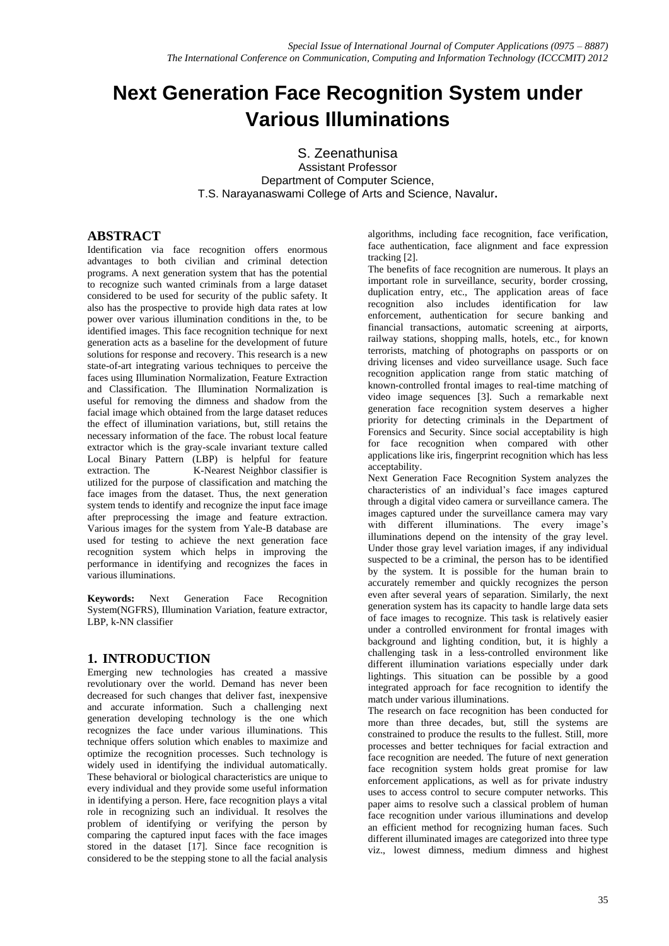# **Next Generation Face Recognition System under Various Illuminations**

S. Zeenathunisa Assistant Professor Department of Computer Science, T.S. Narayanaswami College of Arts and Science, Navalur**.**

# **ABSTRACT**

Identification via face recognition offers enormous advantages to both civilian and criminal detection programs. A next generation system that has the potential to recognize such wanted criminals from a large dataset considered to be used for security of the public safety. It also has the prospective to provide high data rates at low power over various illumination conditions in the, to be identified images. This face recognition technique for next generation acts as a baseline for the development of future solutions for response and recovery. This research is a new state-of-art integrating various techniques to perceive the faces using Illumination Normalization, Feature Extraction and Classification. The Illumination Normalization is useful for removing the dimness and shadow from the facial image which obtained from the large dataset reduces the effect of illumination variations, but, still retains the necessary information of the face. The robust local feature extractor which is the gray-scale invariant texture called Local Binary Pattern (LBP) is helpful for feature extraction. The K-Nearest Neighbor classifier is utilized for the purpose of classification and matching the face images from the dataset. Thus, the next generation system tends to identify and recognize the input face image after preprocessing the image and feature extraction. Various images for the system from Yale-B database are used for testing to achieve the next generation face recognition system which helps in improving the performance in identifying and recognizes the faces in various illuminations.

**Keywords:** Next Generation Face Recognition System(NGFRS), Illumination Variation, feature extractor, LBP, k-NN classifier

# **1. INTRODUCTION**

Emerging new technologies has created a massive revolutionary over the world. Demand has never been decreased for such changes that deliver fast, inexpensive and accurate information. Such a challenging next generation developing technology is the one which recognizes the face under various illuminations. This technique offers solution which enables to maximize and optimize the recognition processes. Such technology is widely used in identifying the individual automatically. These behavioral or biological characteristics are unique to every individual and they provide some useful information in identifying a person. Here, face recognition plays a vital role in recognizing such an individual. It resolves the problem of identifying or verifying the person by comparing the captured input faces with the face images stored in the dataset [17]. Since face recognition is considered to be the stepping stone to all the facial analysis algorithms, including face recognition, face verification, face authentication, face alignment and face expression tracking [2].

The benefits of face recognition are numerous. It plays an important role in surveillance, security, border crossing, duplication entry, etc., The application areas of face recognition also includes identification for law enforcement, authentication for secure banking and financial transactions, automatic screening at airports, railway stations, shopping malls, hotels, etc., for known terrorists, matching of photographs on passports or on driving licenses and video surveillance usage. Such face recognition application range from static matching of known-controlled frontal images to real-time matching of video image sequences [3]. Such a remarkable next generation face recognition system deserves a higher priority for detecting criminals in the Department of Forensics and Security. Since social acceptability is high for face recognition when compared with other applications like iris, fingerprint recognition which has less acceptability.

Next Generation Face Recognition System analyzes the characteristics of an individual"s face images captured through a digital video camera or surveillance camera. The images captured under the surveillance camera may vary with different illuminations. The every image's illuminations depend on the intensity of the gray level. Under those gray level variation images, if any individual suspected to be a criminal, the person has to be identified by the system. It is possible for the human brain to accurately remember and quickly recognizes the person even after several years of separation. Similarly, the next generation system has its capacity to handle large data sets of face images to recognize. This task is relatively easier under a controlled environment for frontal images with background and lighting condition, but, it is highly a challenging task in a less-controlled environment like different illumination variations especially under dark lightings. This situation can be possible by a good integrated approach for face recognition to identify the match under various illuminations.

The research on face recognition has been conducted for more than three decades, but, still the systems are constrained to produce the results to the fullest. Still, more processes and better techniques for facial extraction and face recognition are needed. The future of next generation face recognition system holds great promise for law enforcement applications, as well as for private industry uses to access control to secure computer networks. This paper aims to resolve such a classical problem of human face recognition under various illuminations and develop an efficient method for recognizing human faces. Such different illuminated images are categorized into three type viz., lowest dimness, medium dimness and highest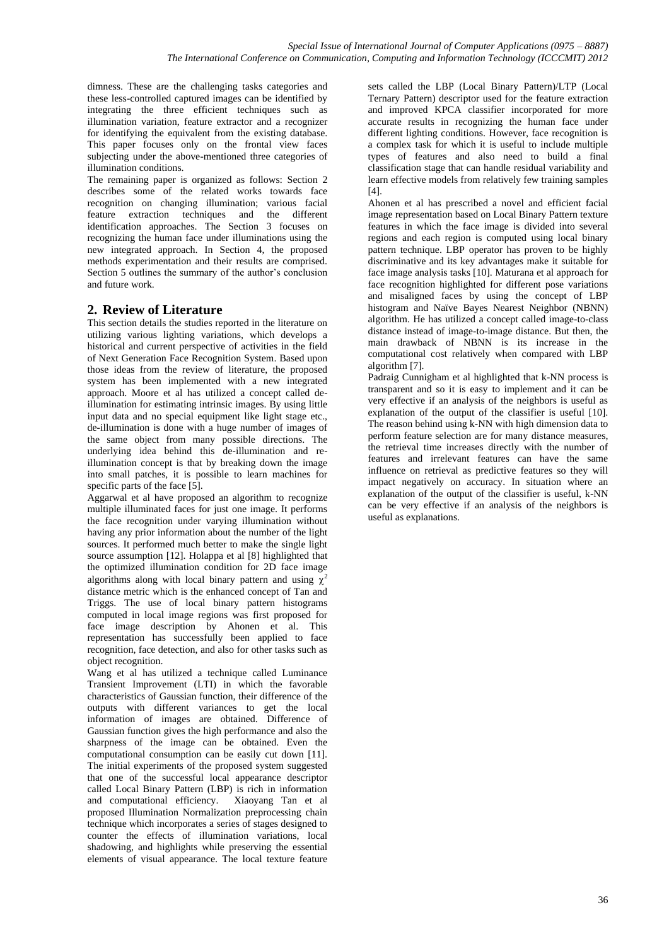dimness. These are the challenging tasks categories and these less-controlled captured images can be identified by integrating the three efficient techniques such as illumination variation, feature extractor and a recognizer for identifying the equivalent from the existing database. This paper focuses only on the frontal view faces subjecting under the above-mentioned three categories of illumination conditions.

The remaining paper is organized as follows: Section 2 describes some of the related works towards face recognition on changing illumination; various facial feature extraction techniques and the different identification approaches. The Section 3 focuses on recognizing the human face under illuminations using the new integrated approach. In Section 4, the proposed methods experimentation and their results are comprised. Section 5 outlines the summary of the author's conclusion and future work.

# **2. Review of Literature**

This section details the studies reported in the literature on utilizing various lighting variations, which develops a historical and current perspective of activities in the field of Next Generation Face Recognition System. Based upon those ideas from the review of literature, the proposed system has been implemented with a new integrated approach. Moore et al has utilized a concept called deillumination for estimating intrinsic images. By using little input data and no special equipment like light stage etc., de-illumination is done with a huge number of images of the same object from many possible directions. The underlying idea behind this de-illumination and reillumination concept is that by breaking down the image into small patches, it is possible to learn machines for specific parts of the face [5].

Aggarwal et al have proposed an algorithm to recognize multiple illuminated faces for just one image. It performs the face recognition under varying illumination without having any prior information about the number of the light sources. It performed much better to make the single light source assumption [12]. Holappa et al [8] highlighted that the optimized illumination condition for 2D face image algorithms along with local binary pattern and using  $\chi^2$ distance metric which is the enhanced concept of Tan and Triggs. The use of local binary pattern histograms computed in local image regions was first proposed for face image description by Ahonen et al. This representation has successfully been applied to face recognition, face detection, and also for other tasks such as object recognition.

Wang et al has utilized a technique called Luminance Transient Improvement (LTI) in which the favorable characteristics of Gaussian function, their difference of the outputs with different variances to get the local information of images are obtained. Difference of Gaussian function gives the high performance and also the sharpness of the image can be obtained. Even the computational consumption can be easily cut down [11]. The initial experiments of the proposed system suggested that one of the successful local appearance descriptor called Local Binary Pattern (LBP) is rich in information and computational efficiency. Xiaoyang Tan et al proposed Illumination Normalization preprocessing chain technique which incorporates a series of stages designed to counter the effects of illumination variations, local shadowing, and highlights while preserving the essential elements of visual appearance. The local texture feature

sets called the LBP (Local Binary Pattern)/LTP (Local Ternary Pattern) descriptor used for the feature extraction and improved KPCA classifier incorporated for more accurate results in recognizing the human face under different lighting conditions. However, face recognition is a complex task for which it is useful to include multiple types of features and also need to build a final classification stage that can handle residual variability and learn effective models from relatively few training samples [4].

Ahonen et al has prescribed a novel and efficient facial image representation based on Local Binary Pattern texture features in which the face image is divided into several regions and each region is computed using local binary pattern technique. LBP operator has proven to be highly discriminative and its key advantages make it suitable for face image analysis tasks [10]. Maturana et al approach for face recognition highlighted for different pose variations and misaligned faces by using the concept of LBP histogram and Naïve Bayes Nearest Neighbor (NBNN) algorithm. He has utilized a concept called image-to-class distance instead of image-to-image distance. But then, the main drawback of NBNN is its increase in the computational cost relatively when compared with LBP algorithm [7].

Padraig Cunnigham et al highlighted that k-NN process is transparent and so it is easy to implement and it can be very effective if an analysis of the neighbors is useful as explanation of the output of the classifier is useful [10]. The reason behind using k-NN with high dimension data to perform feature selection are for many distance measures, the retrieval time increases directly with the number of features and irrelevant features can have the same influence on retrieval as predictive features so they will impact negatively on accuracy. In situation where an explanation of the output of the classifier is useful, k-NN can be very effective if an analysis of the neighbors is useful as explanations.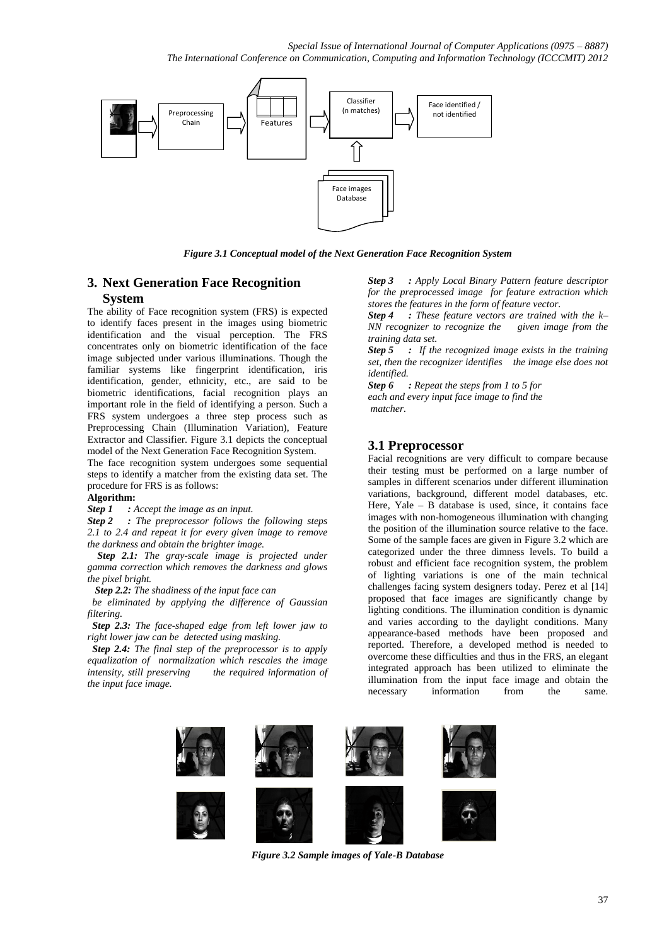*Special Issue of International Journal of Computer Applications (0975 – 8887) The International Conference on Communication, Computing and Information Technology (ICCCMIT) 2012*



*Figure 3.1 Conceptual model of the Next Generation Face Recognition System*

# **3. Next Generation Face Recognition System**

The ability of Face recognition system (FRS) is expected to identify faces present in the images using biometric identification and the visual perception. The FRS concentrates only on biometric identification of the face image subjected under various illuminations. Though the familiar systems like fingerprint identification, iris identification, gender, ethnicity, etc., are said to be biometric identifications, facial recognition plays an important role in the field of identifying a person. Such a FRS system undergoes a three step process such as Preprocessing Chain (Illumination Variation), Feature Extractor and Classifier. Figure 3.1 depicts the conceptual model of the Next Generation Face Recognition System.

The face recognition system undergoes some sequential steps to identify a matcher from the existing data set. The procedure for FRS is as follows:

#### **Algorithm:**

*Step 1 : Accept the image as an input.*

*Step 2 : The preprocessor follows the following steps 2.1 to 2.4 and repeat it for every given image to remove the darkness and obtain the brighter image.*

 *Step 2.1: The gray-scale image is projected under gamma correction which removes the darkness and glows the pixel bright.*

 *Step 2.2: The shadiness of the input face can* 

 *be eliminated by applying the difference of Gaussian filtering.*

 *Step 2.3: The face-shaped edge from left lower jaw to right lower jaw can be detected using masking.*

 *Step 2.4: The final step of the preprocessor is to apply equalization of normalization which rescales the image intensity, still preserving* the required information of *the input face image.*

*Step 3 : Apply Local Binary Pattern feature descriptor for the preprocessed image for feature extraction which stores the features in the form of feature vector.*

*Step 4 : These feature vectors are trained with the k– NN recognizer to recognize the given image from the training data set.*

*Step 5 : If the recognized image exists in the training set, then the recognizer identifies the image else does not identified.*

*Step 6 : Repeat the steps from 1 to 5 for each and every input face image to find the matcher.*

## **3.1 Preprocessor**

Facial recognitions are very difficult to compare because their testing must be performed on a large number of samples in different scenarios under different illumination variations, background, different model databases, etc. Here, Yale – B database is used, since, it contains face images with non-homogeneous illumination with changing the position of the illumination source relative to the face. Some of the sample faces are given in Figure 3.2 which are categorized under the three dimness levels. To build a robust and efficient face recognition system, the problem of lighting variations is one of the main technical challenges facing system designers today. Perez et al [14] proposed that face images are significantly change by lighting conditions. The illumination condition is dynamic and varies according to the daylight conditions. Many appearance-based methods have been proposed and reported. Therefore, a developed method is needed to overcome these difficulties and thus in the FRS, an elegant integrated approach has been utilized to eliminate the illumination from the input face image and obtain the necessary information from the same.



*Figure 3.2 Sample images of Yale-B Database*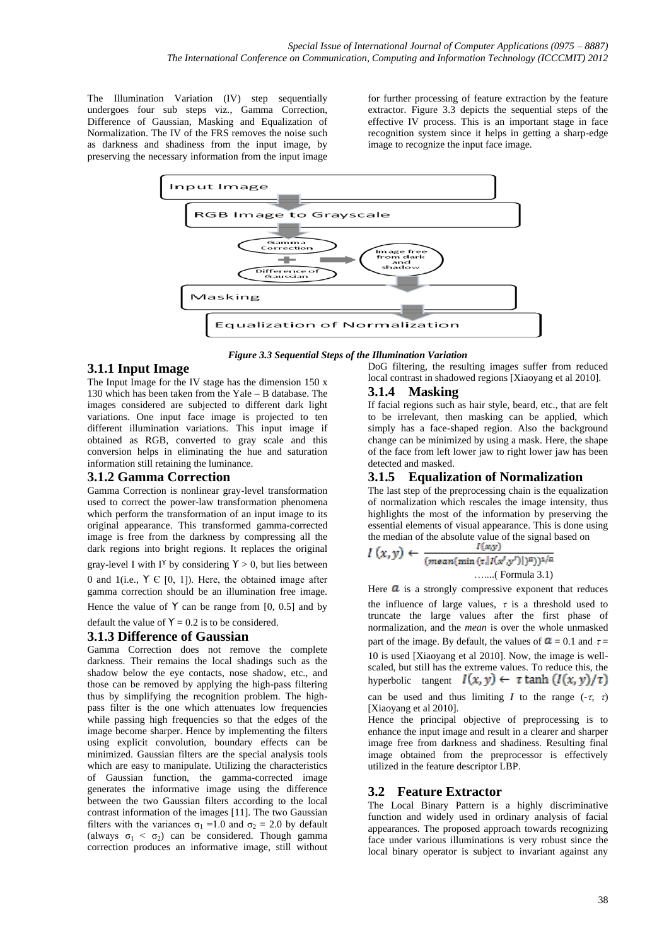The Illumination Variation (IV) step sequentially undergoes four sub steps viz., Gamma Correction, Difference of Gaussian, Masking and Equalization of Normalization. The IV of the FRS removes the noise such as darkness and shadiness from the input image, by preserving the necessary information from the input image

for further processing of feature extraction by the feature extractor. Figure 3.3 depicts the sequential steps of the effective IV process. This is an important stage in face recognition system since it helps in getting a sharp-edge image to recognize the input face image.





## **3.1.1 Input Image**

The Input Image for the IV stage has the dimension  $150 \text{ x}$ 130 which has been taken from the Yale – B database. The images considered are subjected to different dark light variations. One input face image is projected to ten different illumination variations. This input image if obtained as RGB, converted to gray scale and this conversion helps in eliminating the hue and saturation information still retaining the luminance.

## **3.1.2 Gamma Correction**

Gamma Correction is nonlinear gray-level transformation used to correct the power-law transformation phenomena which perform the transformation of an input image to its original appearance. This transformed gamma-corrected image is free from the darkness by compressing all the dark regions into bright regions. It replaces the original gray-level I with I<sup> $\Upsilon$ </sup> by considering  $\Upsilon > 0$ , but lies between 0 and 1(i.e.,  $\Upsilon \in [0, 1]$ ). Here, the obtained image after gamma correction should be an illumination free image. Hence the value of  $Y$  can be range from [0, 0.5] and by

default the value of  $Y = 0.2$  is to be considered.

## **3.1.3 Difference of Gaussian**

Gamma Correction does not remove the complete darkness. Their remains the local shadings such as the shadow below the eye contacts, nose shadow, etc., and those can be removed by applying the high-pass filtering thus by simplifying the recognition problem. The highpass filter is the one which attenuates low frequencies while passing high frequencies so that the edges of the image become sharper. Hence by implementing the filters using explicit convolution, boundary effects can be minimized. Gaussian filters are the special analysis tools which are easy to manipulate. Utilizing the characteristics of Gaussian function, the gamma-corrected image generates the informative image using the difference between the two Gaussian filters according to the local contrast information of the images [11]. The two Gaussian filters with the variances  $\sigma_1 = 1.0$  and  $\sigma_2 = 2.0$  by default (always  $\sigma_1 < \sigma_2$ ) can be considered. Though gamma correction produces an informative image, still without DoG filtering, the resulting images suffer from reduced local contrast in shadowed regions [Xiaoyang et al 2010].

## **3.1.4 Masking**

If facial regions such as hair style, beard, etc., that are felt to be irrelevant, then masking can be applied, which simply has a face-shaped region. Also the background change can be minimized by using a mask. Here, the shape of the face from left lower jaw to right lower jaw has been detected and masked.

## **3.1.5 Equalization of Normalization**

The last step of the preprocessing chain is the equalization of normalization which rescales the image intensity, thus highlights the most of the information by preserving the essential elements of visual appearance. This is done using the median of the absolute value of the signal based on

$$
I(x,y) \leftarrow \frac{I(x,y)}{(mean(min(\tau, |I(x',y')|)^{\alpha}))^{1/\alpha}}
$$
  
......(Formula 3.1)

Here  $\alpha$  is a strongly compressive exponent that reduces the influence of large values,  $\tau$  is a threshold used to truncate the large values after the first phase of normalization, and the *mean* is over the whole unmasked part of the image. By default, the values of  $\mathbf{a} = 0.1$  and  $\tau =$ 10 is used [Xiaoyang et al 2010]. Now, the image is wellscaled, but still has the extreme values. To reduce this, the hyperbolic tangent  $I(x, y) \leftarrow \tau \tanh (I(x, y)/\tau)$ 

can be used and thus limiting *I* to the range  $(-\tau, \tau)$ [Xiaoyang et al 2010].

Hence the principal objective of preprocessing is to enhance the input image and result in a clearer and sharper image free from darkness and shadiness. Resulting final image obtained from the preprocessor is effectively utilized in the feature descriptor LBP.

## **3.2 Feature Extractor**

The Local Binary Pattern is a highly discriminative function and widely used in ordinary analysis of facial appearances. The proposed approach towards recognizing face under various illuminations is very robust since the local binary operator is subject to invariant against any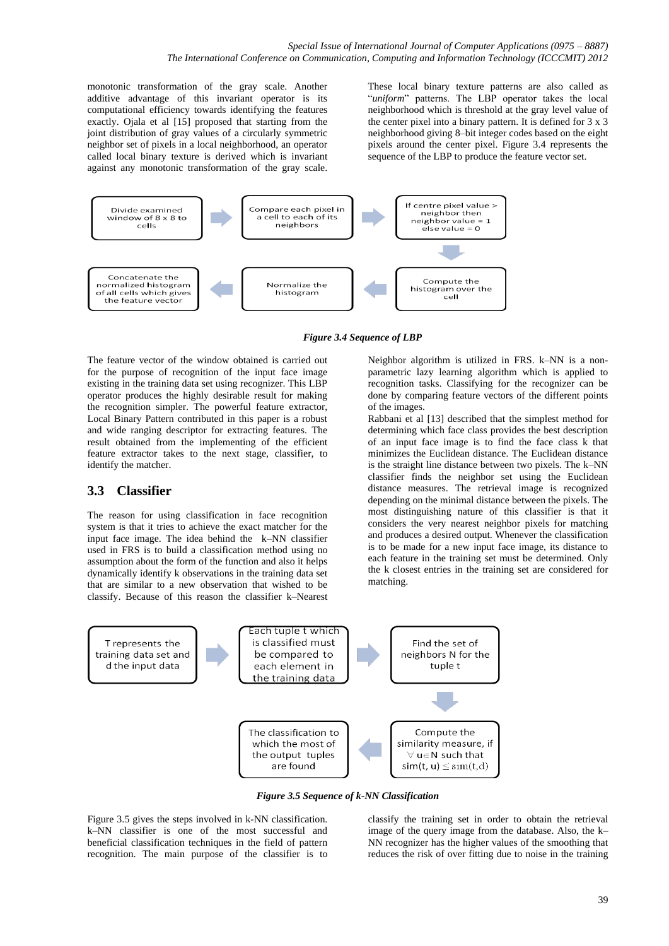monotonic transformation of the gray scale. Another additive advantage of this invariant operator is its computational efficiency towards identifying the features exactly. Ojala et al [15] proposed that starting from the joint distribution of gray values of a circularly symmetric neighbor set of pixels in a local neighborhood, an operator called local binary texture is derived which is invariant against any monotonic transformation of the gray scale. These local binary texture patterns are also called as "*uniform*" patterns. The LBP operator takes the local neighborhood which is threshold at the gray level value of the center pixel into a binary pattern. It is defined for 3 x 3 neighborhood giving 8–bit integer codes based on the eight pixels around the center pixel. Figure 3.4 represents the sequence of the LBP to produce the feature vector set.





The feature vector of the window obtained is carried out for the purpose of recognition of the input face image existing in the training data set using recognizer. This LBP operator produces the highly desirable result for making the recognition simpler. The powerful feature extractor, Local Binary Pattern contributed in this paper is a robust and wide ranging descriptor for extracting features. The result obtained from the implementing of the efficient feature extractor takes to the next stage, classifier, to identify the matcher.

## **3.3 Classifier**

The reason for using classification in face recognition system is that it tries to achieve the exact matcher for the input face image. The idea behind the k–NN classifier used in FRS is to build a classification method using no assumption about the form of the function and also it helps dynamically identify k observations in the training data set that are similar to a new observation that wished to be classify. Because of this reason the classifier k–Nearest Neighbor algorithm is utilized in FRS. k–NN is a nonparametric lazy learning algorithm which is applied to recognition tasks. Classifying for the recognizer can be done by comparing feature vectors of the different points of the images.

Rabbani et al [13] described that the simplest method for determining which face class provides the best description of an input face image is to find the face class k that minimizes the Euclidean distance. The Euclidean distance is the straight line distance between two pixels. The k–NN classifier finds the neighbor set using the Euclidean distance measures. The retrieval image is recognized depending on the minimal distance between the pixels. The most distinguishing nature of this classifier is that it considers the very nearest neighbor pixels for matching and produces a desired output. Whenever the classification is to be made for a new input face image, its distance to each feature in the training set must be determined. Only the k closest entries in the training set are considered for matching.



*Figure 3.5 Sequence of k-NN Classification*

Figure 3.5 gives the steps involved in k-NN classification. k–NN classifier is one of the most successful and beneficial classification techniques in the field of pattern recognition. The main purpose of the classifier is to

classify the training set in order to obtain the retrieval image of the query image from the database. Also, the k– NN recognizer has the higher values of the smoothing that reduces the risk of over fitting due to noise in the training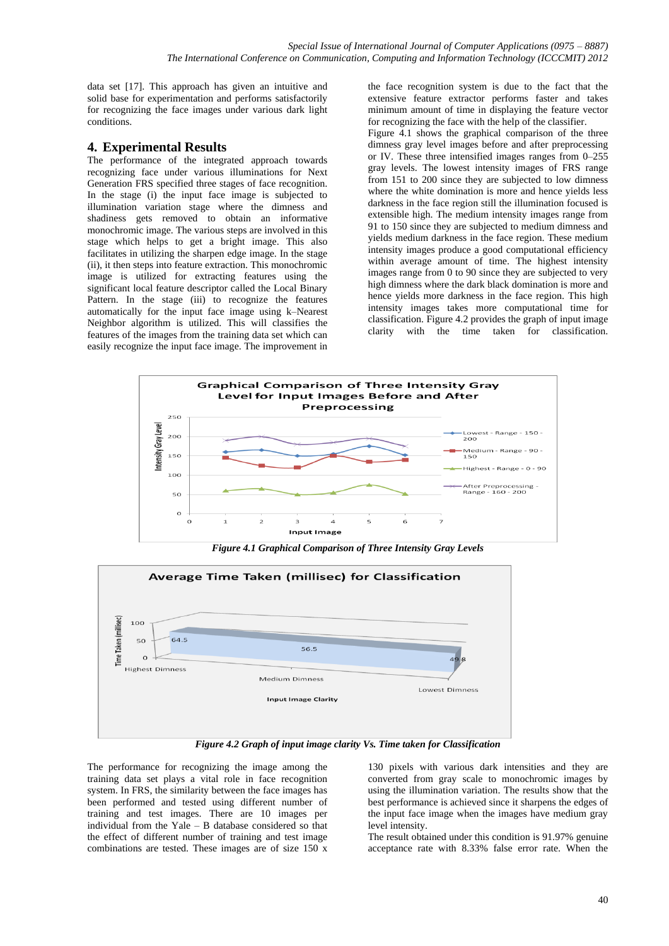data set [17]. This approach has given an intuitive and solid base for experimentation and performs satisfactorily for recognizing the face images under various dark light conditions.

## **4. Experimental Results**

The performance of the integrated approach towards recognizing face under various illuminations for Next Generation FRS specified three stages of face recognition. In the stage (i) the input face image is subjected to illumination variation stage where the dimness and shadiness gets removed to obtain an informative monochromic image. The various steps are involved in this stage which helps to get a bright image. This also facilitates in utilizing the sharpen edge image. In the stage (ii), it then steps into feature extraction. This monochromic image is utilized for extracting features using the significant local feature descriptor called the Local Binary Pattern. In the stage (iii) to recognize the features automatically for the input face image using k–Nearest Neighbor algorithm is utilized. This will classifies the features of the images from the training data set which can easily recognize the input face image. The improvement in

the face recognition system is due to the fact that the extensive feature extractor performs faster and takes minimum amount of time in displaying the feature vector for recognizing the face with the help of the classifier. Figure 4.1 shows the graphical comparison of the three dimness gray level images before and after preprocessing or IV. These three intensified images ranges from 0–255 gray levels. The lowest intensity images of FRS range from 151 to 200 since they are subjected to low dimness where the white domination is more and hence yields less darkness in the face region still the illumination focused is extensible high. The medium intensity images range from 91 to 150 since they are subjected to medium dimness and yields medium darkness in the face region. These medium intensity images produce a good computational efficiency within average amount of time. The highest intensity images range from 0 to 90 since they are subjected to very high dimness where the dark black domination is more and hence yields more darkness in the face region. This high intensity images takes more computational time for classification. Figure 4.2 provides the graph of input image clarity with the time taken for classification.



*Figure 4.1 Graphical Comparison of Three Intensity Gray Levels*



*Figure 4.2 Graph of input image clarity Vs. Time taken for Classification*

The performance for recognizing the image among the training data set plays a vital role in face recognition system. In FRS, the similarity between the face images has been performed and tested using different number of training and test images. There are 10 images per individual from the Yale – B database considered so that the effect of different number of training and test image combinations are tested. These images are of size 150 x

130 pixels with various dark intensities and they are converted from gray scale to monochromic images by using the illumination variation. The results show that the best performance is achieved since it sharpens the edges of the input face image when the images have medium gray level intensity.

The result obtained under this condition is 91.97% genuine acceptance rate with 8.33% false error rate. When the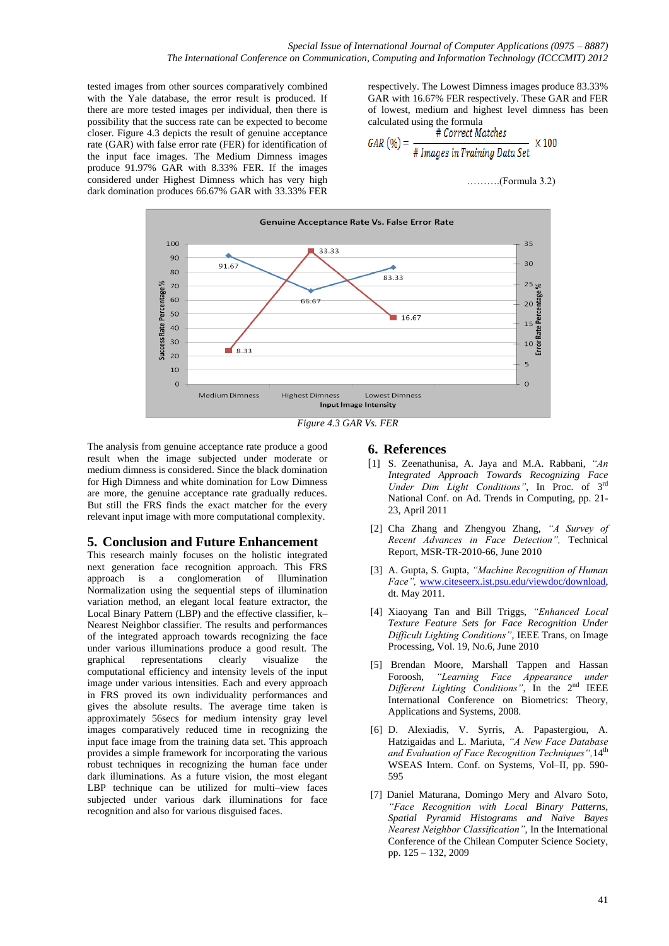tested images from other sources comparatively combined with the Yale database, the error result is produced. If there are more tested images per individual, then there is possibility that the success rate can be expected to become closer. Figure 4.3 depicts the result of genuine acceptance rate (GAR) with false error rate (FER) for identification of the input face images. The Medium Dimness images produce 91.97% GAR with 8.33% FER. If the images considered under Highest Dimness which has very high dark domination produces 66.67% GAR with 33.33% FER

respectively. The Lowest Dimness images produce 83.33% GAR with 16.67% FER respectively. These GAR and FER of lowest, medium and highest level dimness has been calculated using the formula

$$
GAR (%) = \frac{\text{\# Correct } matches}{\text{\# } Images \text{ in Training Data Set}} \times 100
$$

……….(Formula 3.2)



*Figure 4.3 GAR Vs. FER*

The analysis from genuine acceptance rate produce a good result when the image subjected under moderate or medium dimness is considered. Since the black domination for High Dimness and white domination for Low Dimness are more, the genuine acceptance rate gradually reduces. But still the FRS finds the exact matcher for the every relevant input image with more computational complexity.

## **5. Conclusion and Future Enhancement**

This research mainly focuses on the holistic integrated next generation face recognition approach. This FRS approach is a conglomeration of Illumination Normalization using the sequential steps of illumination variation method, an elegant local feature extractor, the Local Binary Pattern (LBP) and the effective classifier, k– Nearest Neighbor classifier. The results and performances of the integrated approach towards recognizing the face under various illuminations produce a good result. The graphical representations clearly visualize the computational efficiency and intensity levels of the input image under various intensities. Each and every approach in FRS proved its own individuality performances and gives the absolute results. The average time taken is approximately 56secs for medium intensity gray level images comparatively reduced time in recognizing the input face image from the training data set. This approach provides a simple framework for incorporating the various robust techniques in recognizing the human face under dark illuminations. As a future vision, the most elegant LBP technique can be utilized for multi–view faces subjected under various dark illuminations for face recognition and also for various disguised faces.

#### **6. References**

- [1] S. Zeenathunisa, A. Jaya and M.A. Rabbani, *"An Integrated Approach Towards Recognizing Face Under Dim Light Conditions"*, In Proc. of 3rd National Conf. on Ad. Trends in Computing, pp. 21- 23, April 2011
- [2] Cha Zhang and Zhengyou Zhang, *"A Survey of Recent Advances in Face Detection",* Technical Report, MSR-TR-2010-66, June 2010
- [3] A. Gupta, S. Gupta, *"Machine Recognition of Human Face",* [www.citeseerx.ist.psu.edu/viewdoc/download,](http://www.citeseerx.ist.psu.edu/viewdoc/download) dt. May 2011.
- [4] Xiaoyang Tan and Bill Triggs, *"Enhanced Local Texture Feature Sets for Face Recognition Under Difficult Lighting Conditions"*, IEEE Trans, on Image Processing, Vol. 19, No.6, June 2010
- [5] Brendan Moore, Marshall Tappen and Hassan Foroosh, *"Learning Face Appearance under Different Lighting Conditions"*, In the 2nd IEEE International Conference on Biometrics: Theory, Applications and Systems, 2008.
- [6] D. Alexiadis, V. Syrris, A. Papastergiou, A. Hatzigaidas and L. Mariuta, *"A New Face Database and Evaluation of Face Recognition Techniques",*14th WSEAS Intern. Conf. on Systems, Vol–II, pp. 590- 595
- [7] Daniel Maturana, Domingo Mery and Alvaro Soto, *"Face Recognition with Local Binary Patterns, Spatial Pyramid Histograms and Naïve Bayes Nearest Neighbor Classification"*, In the International Conference of the Chilean Computer Science Society, pp. 125 – 132, 2009